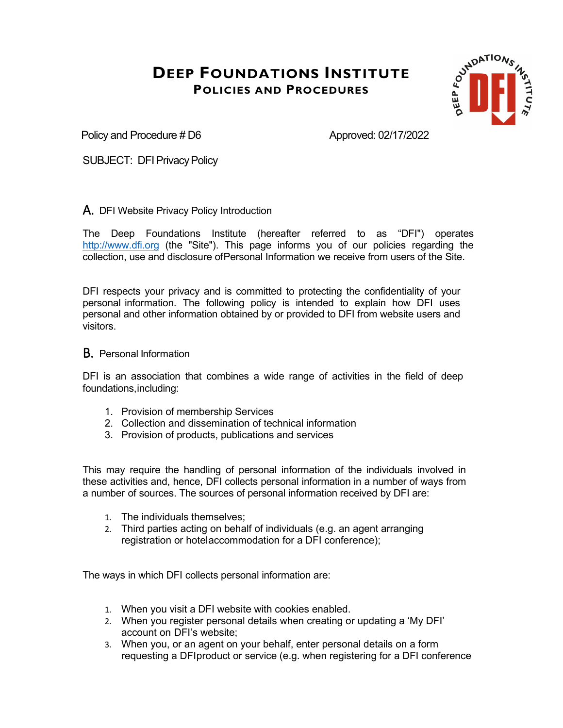

Policy and Procedure # D6 Approved: 02/17/2022

SUBJECT: DFI Privacy Policy

#### A. DFI Website Privacy Policy Introduction

The Deep Foundations Institute (hereafter referred to as "DFI") operates [http://www.dfi.org](http://www.dfi.org/) (the "Site"). This page informs you of our policies regarding the collection, use and disclosure ofPersonal Information we receive from users of the Site.

DFI respects your privacy and is committed to protecting the confidentiality of your personal information. The following policy is intended to explain how DFI uses personal and other information obtained by or provided to DFI from website users and visitors.

#### B. Personal Information

DFI is an association that combines a wide range of activities in the field of deep foundations,including:

- 1. Provision of membership Services
- 2. Collection and dissemination of technical information
- 3. Provision of products, publications and services

This may require the handling of personal information of the individuals involved in these activities and, hence, DFI collects personal information in a number of ways from a number of sources. The sources of personal information received by DFI are:

- 1. The individuals themselves;
- 2. Third parties acting on behalf of individuals (e.g. an agent arranging registration or hotelaccommodation for a DFI conference);

The ways in which DFI collects personal information are:

- 1. When you visit a DFI website with cookies enabled.
- 2. When you register personal details when creating or updating a 'My DFI' account on DFI's website;
- 3. When you, or an agent on your behalf, enter personal details on a form requesting a DFIproduct or service (e.g. when registering for a DFI conference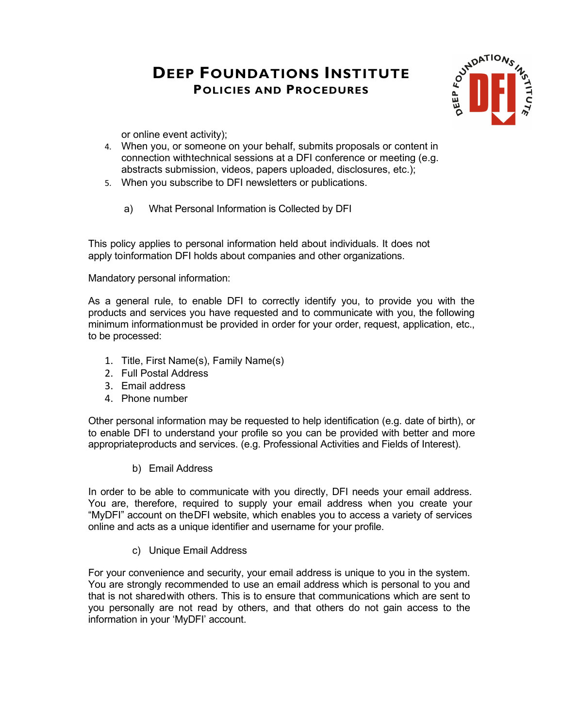

or online event activity);

- 4. When you, or someone on your behalf, submits proposals or content in connection withtechnical sessions at a DFI conference or meeting (e.g. abstracts submission, videos, papers uploaded, disclosures, etc.);
- 5. When you subscribe to DFI newsletters or publications.
	- a) What Personal Information is Collected by DFI

This policy applies to personal information held about individuals. It does not apply toinformation DFI holds about companies and other organizations.

Mandatory personal information:

As a general rule, to enable DFI to correctly identify you, to provide you with the products and services you have requested and to communicate with you, the following minimum informationmust be provided in order for your order, request, application, etc., to be processed:

- 1. Title, First Name(s), Family Name(s)
- 2. Full Postal Address
- 3. Email address
- 4. Phone number

Other personal information may be requested to help identification (e.g. date of birth), or to enable DFI to understand your profile so you can be provided with better and more appropriateproducts and services. (e.g. Professional Activities and Fields of Interest).

b) Email Address

In order to be able to communicate with you directly, DFI needs your email address. You are, therefore, required to supply your email address when you create your "MyDFI" account on theDFI website, which enables you to access a variety of services online and acts as a unique identifier and username for your profile.

c) Unique Email Address

For your convenience and security, your email address is unique to you in the system. You are strongly recommended to use an email address which is personal to you and that is not sharedwith others. This is to ensure that communications which are sent to you personally are not read by others, and that others do not gain access to the information in your 'MyDFI' account.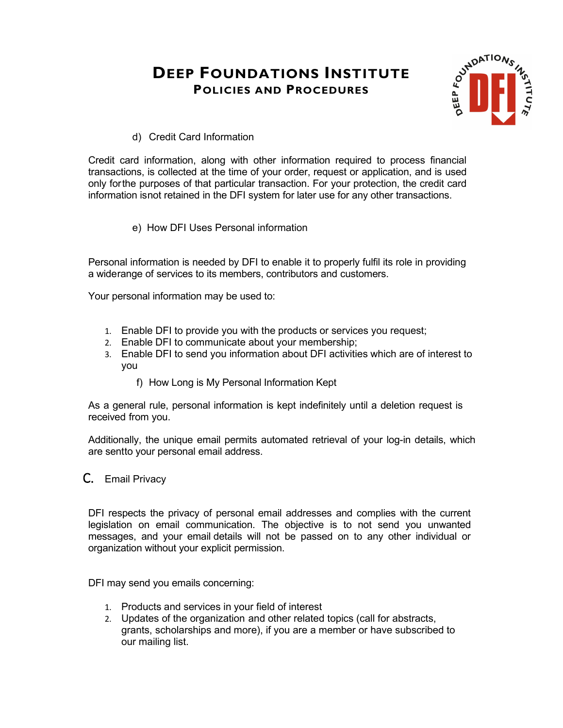

d) Credit Card Information

Credit card information, along with other information required to process financial transactions, is collected at the time of your order, request or application, and is used only forthe purposes of that particular transaction. For your protection, the credit card information isnot retained in the DFI system for later use for any other transactions.

e) How DFI Uses Personal information

Personal information is needed by DFI to enable it to properly fulfil its role in providing a widerange of services to its members, contributors and customers.

Your personal information may be used to:

- 1. Enable DFI to provide you with the products or services you request;
- 2. Enable DFI to communicate about your membership;
- 3. Enable DFI to send you information about DFI activities which are of interest to you
	- f) How Long is My Personal Information Kept

As a general rule, personal information is kept indefinitely until a deletion request is received from you.

Additionally, the unique email permits automated retrieval of your log-in details, which are sentto your personal email address.

C. Email Privacy

DFI respects the privacy of personal email addresses and complies with the current legislation on email communication. The objective is to not send you unwanted messages, and your email details will not be passed on to any other individual or organization without your explicit permission.

DFI may send you emails concerning:

- 1. Products and services in your field of interest
- 2. Updates of the organization and other related topics (call for abstracts, grants, scholarships and more), if you are a member or have subscribed to our mailing list.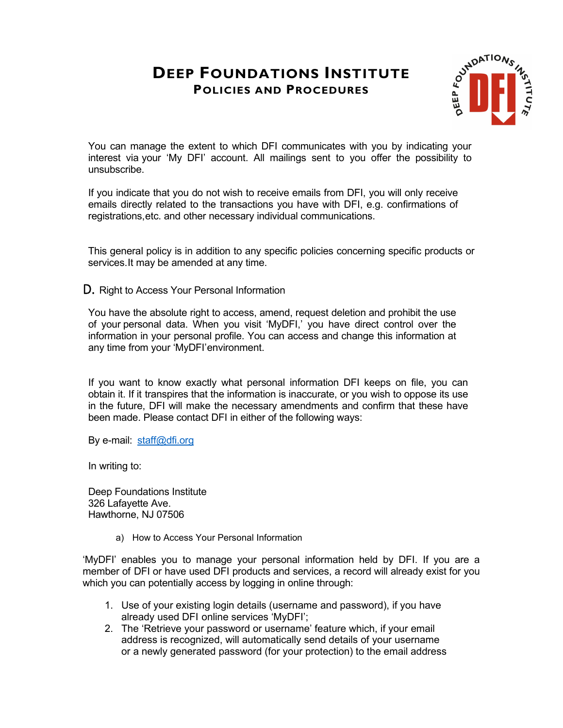

You can manage the extent to which DFI communicates with you by indicating your interest via your 'My DFI' account. All mailings sent to you offer the possibility to unsubscribe.

If you indicate that you do not wish to receive emails from DFI, you will only receive emails directly related to the transactions you have with DFI, e.g. confirmations of registrations,etc. and other necessary individual communications.

This general policy is in addition to any specific policies concerning specific products or services.It may be amended at any time.

D. Right to Access Your Personal Information

You have the absolute right to access, amend, request deletion and prohibit the use of your personal data. When you visit 'MyDFI,' you have direct control over the information in your personal profile. You can access and change this information at any time from your 'MyDFI'environment.

If you want to know exactly what personal information DFI keeps on file, you can obtain it. If it transpires that the information is inaccurate, or you wish to oppose its use in the future, DFI will make the necessary amendments and confirm that these have been made. Please contact DFI in either of the following ways:

By e-mail: [staff@dfi.org](mailto:staff@dfi.org)

In writing to:

Deep Foundations Institute 326 Lafayette Ave. Hawthorne, NJ 07506

a) How to Access Your Personal Information

'MyDFI' enables you to manage your personal information held by DFI. If you are a member of DFI or have used DFI products and services, a record will already exist for you which you can potentially access by logging in online through:

- 1. Use of your existing login details (username and password), if you have already used DFI online services 'MyDFI';
- 2. The 'Retrieve your password or username' feature which, if your email address is recognized, will automatically send details of your username or a newly generated password (for your protection) to the email address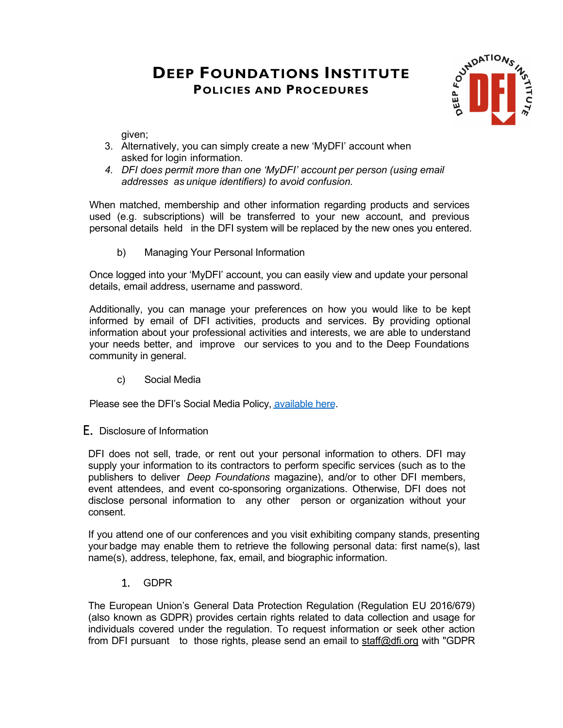

given;

- 3. Alternatively, you can simply create a new 'MyDFI' account when asked for login information.
- *4. DFI does permit more than one 'MyDFI' account per person (using email addresses as unique identifiers) to avoid confusion.*

When matched, membership and other information regarding products and services used (e.g. subscriptions) will be transferred to your new account, and previous personal details held in the DFI system will be replaced by the new ones you entered.

b) Managing Your Personal Information

Once logged into your 'MyDFI' account, you can easily view and update your personal details, email address, username and password.

Additionally, you can manage your preferences on how you would like to be kept informed by email of DFI activities, products and services. By providing optional information about your professional activities and interests, we are able to understand your needs better, and improve our services to you and to the Deep Foundations community in general.

c) Social Media

Please see the DFI's Social Media Policy, [available](https://www.dfi.org/social-media-policy) here.

E. Disclosure of Information

DFI does not sell, trade, or rent out your personal information to others. DFI may supply your information to its contractors to perform specific services (such as to the publishers to deliver *Deep Foundations* magazine), and/or to other DFI members, event attendees, and event co-sponsoring organizations. Otherwise, DFI does not disclose personal information to any other person or organization without your consent.

If you attend one of our conferences and you visit exhibiting company stands, presenting your badge may enable them to retrieve the following personal data: first name(s), last name(s), address, telephone, fax, email, and biographic information.

1. GDPR

The European Union's General Data Protection Regulation (Regulation EU 2016/679) (also known as GDPR) provides certain rights related to data collection and usage for individuals covered under the regulation. To request information or seek other action from DFI pursuant to those rights, please send an email to [staff@dfi.org](mailto:staff@dfi.org) with "GDPR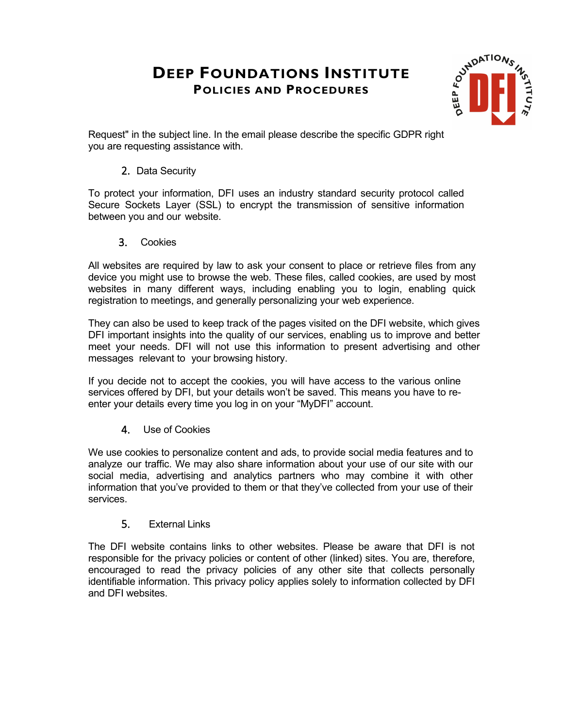

Request" in the subject line. In the email please describe the specific GDPR right you are requesting assistance with.

#### 2. Data Security

To protect your information, DFI uses an industry standard security protocol called Secure Sockets Layer (SSL) to encrypt the transmission of sensitive information between you and our website.

3. Cookies

All websites are required by law to ask your consent to place or retrieve files from any device you might use to browse the web. These files, called cookies, are used by most websites in many different ways, including enabling you to login, enabling quick registration to meetings, and generally personalizing your web experience.

They can also be used to keep track of the pages visited on the DFI website, which gives DFI important insights into the quality of our services, enabling us to improve and better meet your needs. DFI will not use this information to present advertising and other messages relevant to your browsing history.

If you decide not to accept the cookies, you will have access to the various online services offered by DFI, but your details won't be saved. This means you have to reenter your details every time you log in on your "MyDFI" account.

4. Use of Cookies

We use cookies to personalize content and ads, to provide social media features and to analyze our traffic. We may also share information about your use of our site with our social media, advertising and analytics partners who may combine it with other information that you've provided to them or that they've collected from your use of their services.

5. External Links

The DFI website contains links to other websites. Please be aware that DFI is not responsible for the privacy policies or content of other (linked) sites. You are, therefore, encouraged to read the privacy policies of any other site that collects personally identifiable information. This privacy policy applies solely to information collected by DFI and DFI websites.